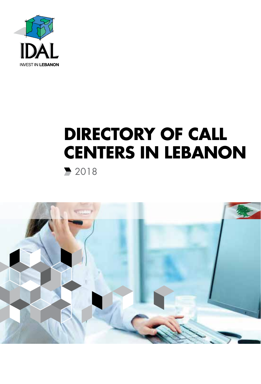

# **DIRECTORY OF CALL CENTERS IN LEBANON** 2018

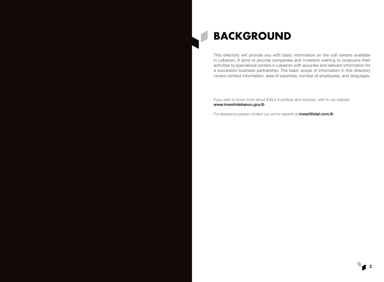

### **BACKGROUND**

This directory will provide you with basic information on the call centers available in Lebanon. It aims to provide companies and investors wishing to outsource their activities to specialized centers in Lebanon with accurate and relevant information for a successful business partnership. The basic scope of information in this directory covers contact information, area of expertise, number of employees, and languages.

*If you wish to know more about IDAL's incentives and services, refer to our website www.investinlebanon.gov.lb*

*For assistance please contact our sector experts at invest@idal.com.lb*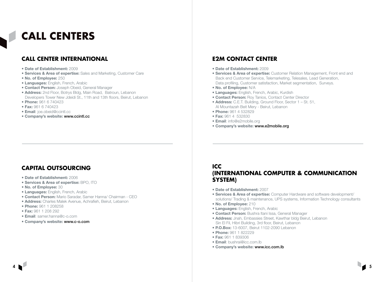## **CALL CENTERS**

### **CALL CENTER INTERNATIONAL**

- Date of Establishment: 2009
- Services & Area of expertise: Sales and Marketing, Customer Care
- . No. of Employee: 250
- **Languages:** English, French, Arabic
- **Contact Person:** Joseph Obeid, General Manager
- Address: 2nd Floor, Botrys Bldg, Main Road, Batroun, Lebanon Developers Tower New Jdeidi St., 11th and 13th floors, Beirut, Lebanon
- Phone: 961 6 740423
- Fax: 961 6 740423
- · Email: joe.obeid@ccintl.cc
- Company's website: www.ccintl.cc

### **E2M CONTACT CENTER**

- Date of Establishment: 2009
- Services & Area of expertise: Customer Relation Management, Front end and Back end Customer Service, Telemarketing, Telesales, Lead Generation, Data profiling, Customer satisfaction, Market segmentation, Surveys.
- . No. of Employee: N/A
- · Languages: English, French, Arabic, Kurdish
- **Contact Person: Roy Tanios, Contact Center Director**
- Address: C.E.T. Building, Ground Floor, Sector 1 St. 51, Al Mountazah Beit Merv - Beirut, Lebanon
- Phone: 961 4 532829
- Fax: 961 4 532830
- · Email: info@e2mobile.org
- Company's website: www.e2mobile.org

#### **CAPITAL OUTSOURCING**

- Date of Establishment: 2006
- · Services & Area of expertise: BPO. ITO
- . No. of Employee: 30
- **Languages:** English, French, Arabic
- Contact Person: Mario Saradar, Samer Hanna/ Chairman CEO
- · Address: Charles Malek Avenue, Achrafieh, Beirut, Lebanon
- Phone: 961 1 208258
- Fax: 961 1 208 292
- · Email: samer.hanna@c-o.com
- Company's website: www.c-o.com

#### **ICC INTERNATIONAL COMPUTER & COMMUNICATION** SYSTEM)

- Date of Establishment: 2007
- Services & Area of expertise: Computer Hardware and software development/ solutions/ Trading & maintenance, UPS systems, Information Technology consultants
- . No. of Employee: 210
- **Languages: English, French, Arabic**
- Contact Person: Bushra Itani Issa, General Manager
- Address: Jnah, Embassies Street, Kawthar bldg Beirut, Lebanon Sin El Fil, Hibri Building, 3rd floor, Beirut, Lebanon
- P.O.Box: 13-6007. Beirut 1102-2090 Lebanon
- Phone: 961 1 822229
- Fax: 961 1 839306
- · Email: bushrai@icc.com.lb
- Company's website: www.icc.com.lb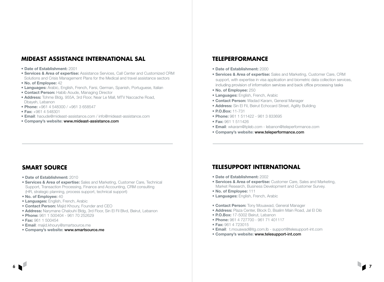#### **MIDEAST ASSISTANCE INTERNATIONAL SAL**

#### • Date of Establishment: 2001

- Services & Area of expertise: Assistance Services, Call Center and Customized CRM Solutions and Crisis Management Plans for the Medical and travel assistance sectors
- No. of Employee: 42
- Languages: Arabic, English, French, Farsi, German, Spanish, Portuguese, Italian
- Contact Person: Habib Aoude, Managing Director
- Address: Tohme Bldg. 955A, 3rd Floor, Near Le Mall, MTV Naccache Road, Dbayeh, Lebanon
- Phone: +961 4 548300 / +961 3 658547
- Fax: +961 4 548301
- Email: haoude@mideast-assistance.com / info@mideast-assistance.com
- Company's website: www.mideast-assistance.com

#### **TELEPERFORMANCE**

- Date of Establishment: 2000
- Services & Area of expertise: Sales and Marketing, Customer Care, CRM support, with expertise in visa application and biometric data collection services, including provision of information services and back office processing tasks
- No. of Employee: 250
- Languages: English, French, Arabic
- Contact Person: Wadad Karam, General Manager
- Address: Sin El Fil, Beirut Echocard Street, Agility Building
- P.O.Box: 11-731
- Phone: 961 1 511422 961 3 833695
- Fax: 961 1 511426
- Email: wkaram@tpleb.com lebanon@teleperformance.com
- Company's website: www.teleperformance.com

#### **SMART SOURCE**

- Date of Establishment: 2010
- Services & Area of expertise: Sales and Marketing, Customer Care, Technical Support, Transaction Processing, Finance and Accounting, CRM consulting (HR, strategic planning,.process support, technical support)
- No. of Employee: 40
- Languages: English, French, Arabic
- Contact Person: Majid Khoury, Founder and CEO
- Address: Narymane Chalouhi Bldg, 3rd Floor, Sin El Fil Blvd, Beirut, Lebanon
- Phone: 961 1 500404 961 70 252629
- Fax: 961 1 500454
- Email: majid.khoury@smartsource.me
- Company's website: www.smartsource.me

#### **TELESUPPORT INTERNATIONAL**

- Date of Establishment: 2002
- **Services & Area of expertise:** Customer Care, Sales and Marketing, Market Research, Business Development and Customer Survey.
- No. of Employee: 111
- **Languages: English, French, Arabic**
- **Contact Person:** Tony Mouawad, General Manager
- Address: Plaza Center, Block D, Bsalim Main Road, Jal El Dib
- P.O.Box: 17-5002 Beirut, Lebanon
- Phone: 961 4 727700 961 71 401117
- Fax: 961 4 723015
- Email: t.mouawad@itg.com.lb support@telesupport-int.com
- Company's website: www.telesupport-int.com